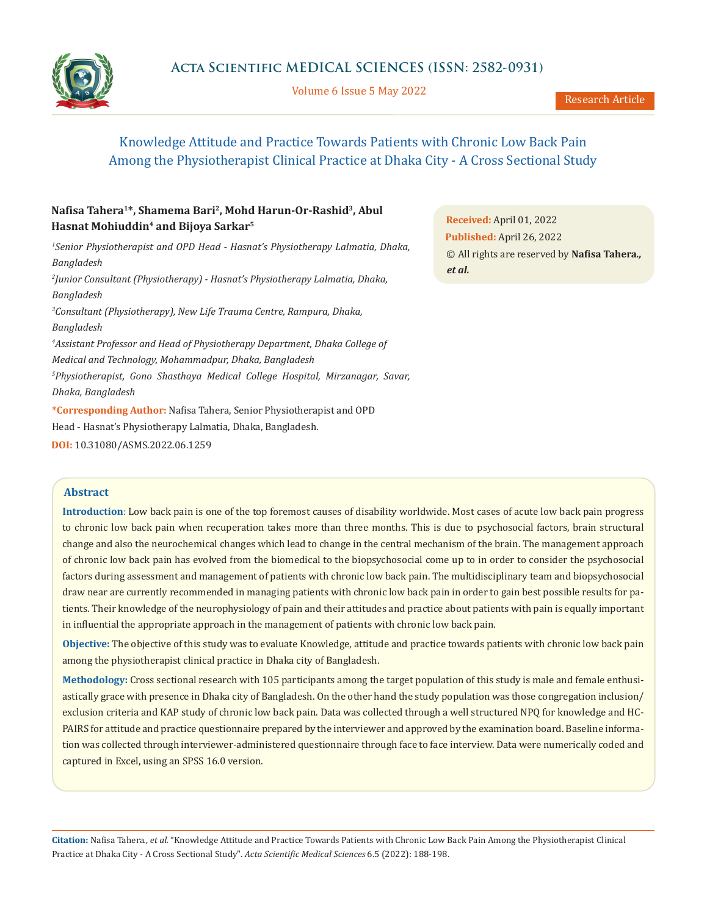

Volume 6 Issue 5 May 2022

# Knowledge Attitude and Practice Towards Patients with Chronic Low Back Pain Among the Physiotherapist Clinical Practice at Dhaka City - A Cross Sectional Study

## **Nafisa Tahera<sup>1</sup>\*, Shamema Bari<sup>2</sup>, Mohd Harun-Or-Rashid<sup>3</sup>, Abul Hasnat Mohiuddin<sup>4</sup> and Bijoya Sarkar<sup>5</sup>**

*1 Senior Physiotherapist and OPD Head - Hasnat's Physiotherapy Lalmatia, Dhaka, Bangladesh 2 Junior Consultant (Physiotherapy) - Hasnat's Physiotherapy Lalmatia, Dhaka, Bangladesh 3 Consultant (Physiotherapy), New Life Trauma Centre, Rampura, Dhaka, Bangladesh 4 Assistant Professor and Head of Physiotherapy Department, Dhaka College of Medical and Technology, Mohammadpur, Dhaka, Bangladesh 5 Physiotherapist, Gono Shasthaya Medical College Hospital, Mirzanagar, Savar, Dhaka, Bangladesh* **\*Corresponding Author:** Nafisa Tahera, Senior Physiotherapist and OPD

Head - Hasnat's Physiotherapy Lalmatia, Dhaka, Bangladesh.

**DOI:** [10.31080/ASMS.2022.06.1259](https://actascientific.com/ASMS/pdf/ASMS-06-1259.pdf)

## **Abstract**

**Introduction**: Low back pain is one of the top foremost causes of disability worldwide. Most cases of acute low back pain progress to chronic low back pain when recuperation takes more than three months. This is due to psychosocial factors, brain structural change and also the neurochemical changes which lead to change in the central mechanism of the brain. The management approach of chronic low back pain has evolved from the biomedical to the biopsychosocial come up to in order to consider the psychosocial factors during assessment and management of patients with chronic low back pain. The multidisciplinary team and biopsychosocial draw near are currently recommended in managing patients with chronic low back pain in order to gain best possible results for patients. Their knowledge of the neurophysiology of pain and their attitudes and practice about patients with pain is equally important in influential the appropriate approach in the management of patients with chronic low back pain.

**Objective:** The objective of this study was to evaluate Knowledge, attitude and practice towards patients with chronic low back pain among the physiotherapist clinical practice in Dhaka city of Bangladesh.

**Methodology:** Cross sectional research with 105 participants among the target population of this study is male and female enthusiastically grace with presence in Dhaka city of Bangladesh. On the other hand the study population was those congregation inclusion/ exclusion criteria and KAP study of chronic low back pain. Data was collected through a well structured NPQ for knowledge and HC-PAIRS for attitude and practice questionnaire prepared by the interviewer and approved by the examination board. Baseline information was collected through interviewer-administered questionnaire through face to face interview. Data were numerically coded and captured in Excel, using an SPSS 16.0 version.

**Citation:** Nafisa Tahera*., et al.* "Knowledge Attitude and Practice Towards Patients with Chronic Low Back Pain Among the Physiotherapist Clinical Practice at Dhaka City - A Cross Sectional Study". *Acta Scientific Medical Sciences* 6.5 (2022): 188-198.

**Received:** April 01, 2022 **Published:** April 26, 2022 © All rights are reserved by **Nafisa Tahera***., et al.*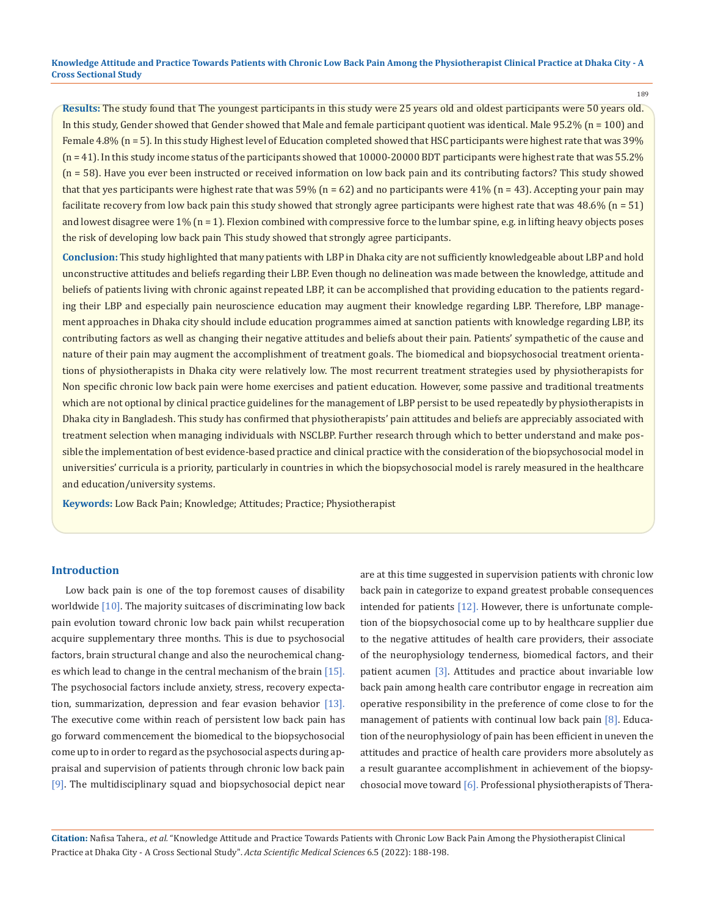189

**Results:** The study found that The youngest participants in this study were 25 years old and oldest participants were 50 years old. In this study, Gender showed that Gender showed that Male and female participant quotient was identical. Male  $95.2\%$  (n = 100) and Female 4.8% (n = 5). In this study Highest level of Education completed showed that HSC participants were highest rate that was 39% (n = 41). In this study income status of the participants showed that 10000-20000 BDT participants were highest rate that was 55.2% (n = 58). Have you ever been instructed or received information on low back pain and its contributing factors? This study showed that that yes participants were highest rate that was 59% ( $n = 62$ ) and no participants were 41% ( $n = 43$ ). Accepting your pain may facilitate recovery from low back pain this study showed that strongly agree participants were highest rate that was 48.6% (n = 51) and lowest disagree were 1% (n = 1). Flexion combined with compressive force to the lumbar spine, e.g. in lifting heavy objects poses the risk of developing low back pain This study showed that strongly agree participants.

**Conclusion:** This study highlighted that many patients with LBP in Dhaka city are not sufficiently knowledgeable about LBP and hold unconstructive attitudes and beliefs regarding their LBP. Even though no delineation was made between the knowledge, attitude and beliefs of patients living with chronic against repeated LBP, it can be accomplished that providing education to the patients regarding their LBP and especially pain neuroscience education may augment their knowledge regarding LBP. Therefore, LBP management approaches in Dhaka city should include education programmes aimed at sanction patients with knowledge regarding LBP, its contributing factors as well as changing their negative attitudes and beliefs about their pain. Patients' sympathetic of the cause and nature of their pain may augment the accomplishment of treatment goals. The biomedical and biopsychosocial treatment orientations of physiotherapists in Dhaka city were relatively low. The most recurrent treatment strategies used by physiotherapists for Non specific chronic low back pain were home exercises and patient education. However, some passive and traditional treatments which are not optional by clinical practice guidelines for the management of LBP persist to be used repeatedly by physiotherapists in Dhaka city in Bangladesh. This study has confirmed that physiotherapists' pain attitudes and beliefs are appreciably associated with treatment selection when managing individuals with NSCLBP. Further research through which to better understand and make possible the implementation of best evidence-based practice and clinical practice with the consideration of the biopsychosocial model in universities' curricula is a priority, particularly in countries in which the biopsychosocial model is rarely measured in the healthcare and education/university systems.

**Keywords:** Low Back Pain; Knowledge; Attitudes; Practice; Physiotherapist

## **Introduction**

Low back pain is one of the top foremost causes of disability worldwide [10]. The majority suitcases of discriminating low back pain evolution toward chronic low back pain whilst recuperation acquire supplementary three months. This is due to psychosocial factors, brain structural change and also the neurochemical changes which lead to change in the central mechanism of the brain  $[15]$ . The psychosocial factors include anxiety, stress, recovery expectation, summarization, depression and fear evasion behavior [13]. The executive come within reach of persistent low back pain has go forward commencement the biomedical to the biopsychosocial come up to in order to regard as the psychosocial aspects during appraisal and supervision of patients through chronic low back pain [9]. The multidisciplinary squad and biopsychosocial depict near are at this time suggested in supervision patients with chronic low back pain in categorize to expand greatest probable consequences intended for patients [12]. However, there is unfortunate completion of the biopsychosocial come up to by healthcare supplier due to the negative attitudes of health care providers, their associate of the neurophysiology tenderness, biomedical factors, and their patient acumen [3]. Attitudes and practice about invariable low back pain among health care contributor engage in recreation aim operative responsibility in the preference of come close to for the management of patients with continual low back pain [8]. Education of the neurophysiology of pain has been efficient in uneven the attitudes and practice of health care providers more absolutely as a result guarantee accomplishment in achievement of the biopsychosocial move toward [6]. Professional physiotherapists of Thera-

**Citation:** Nafisa Tahera*., et al.* "Knowledge Attitude and Practice Towards Patients with Chronic Low Back Pain Among the Physiotherapist Clinical Practice at Dhaka City - A Cross Sectional Study". *Acta Scientific Medical Sciences* 6.5 (2022): 188-198.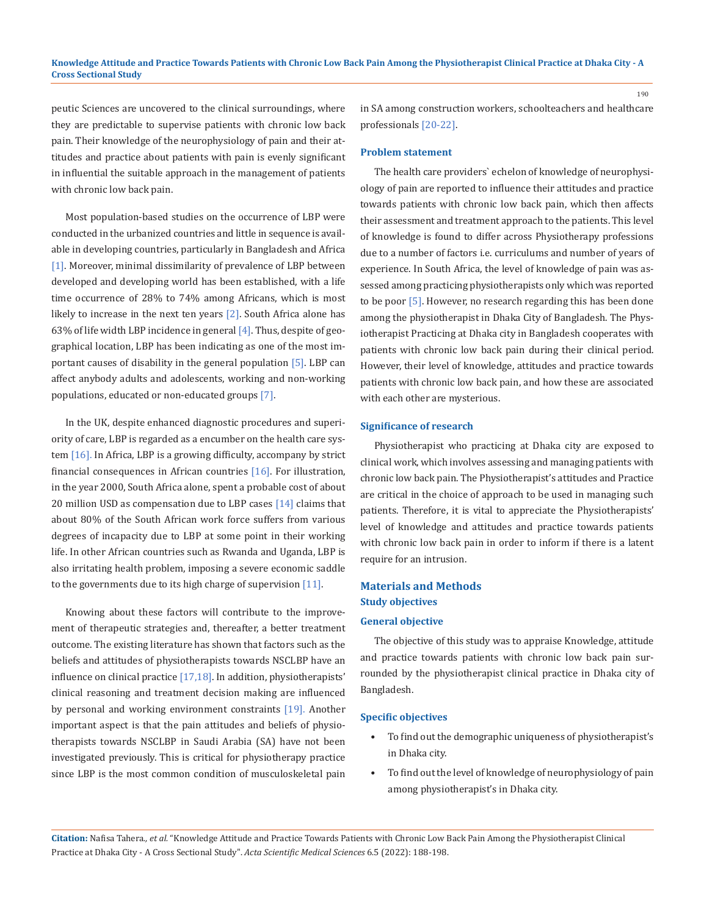peutic Sciences are uncovered to the clinical surroundings, where they are predictable to supervise patients with chronic low back pain. Their knowledge of the neurophysiology of pain and their attitudes and practice about patients with pain is evenly significant in influential the suitable approach in the management of patients with chronic low back pain.

Most population-based studies on the occurrence of LBP were conducted in the urbanized countries and little in sequence is available in developing countries, particularly in Bangladesh and Africa [1]. Moreover, minimal dissimilarity of prevalence of LBP between developed and developing world has been established, with a life time occurrence of 28% to 74% among Africans, which is most likely to increase in the next ten years  $[2]$ . South Africa alone has 63% of life width LBP incidence in general  $[4]$ . Thus, despite of geographical location, LBP has been indicating as one of the most important causes of disability in the general population [5]. LBP can affect anybody adults and adolescents, working and non-working populations, educated or non-educated groups [7].

In the UK, despite enhanced diagnostic procedures and superiority of care, LBP is regarded as a encumber on the health care system [16]. In Africa, LBP is a growing difficulty, accompany by strict financial consequences in African countries [16]. For illustration, in the year 2000, South Africa alone, spent a probable cost of about 20 million USD as compensation due to LBP cases [14] claims that about 80% of the South African work force suffers from various degrees of incapacity due to LBP at some point in their working life. In other African countries such as Rwanda and Uganda, LBP is also irritating health problem, imposing a severe economic saddle to the governments due to its high charge of supervision [11].

Knowing about these factors will contribute to the improvement of therapeutic strategies and, thereafter, a better treatment outcome. The existing literature has shown that factors such as the beliefs and attitudes of physiotherapists towards NSCLBP have an influence on clinical practice [17,18]. In addition, physiotherapists' clinical reasoning and treatment decision making are influenced by personal and working environment constraints [19]. Another important aspect is that the pain attitudes and beliefs of physiotherapists towards NSCLBP in Saudi Arabia (SA) have not been investigated previously. This is critical for physiotherapy practice since LBP is the most common condition of musculoskeletal pain in SA among construction workers, schoolteachers and healthcare professionals [20-22].

#### **Problem statement**

The health care providers` echelon of knowledge of neurophysiology of pain are reported to influence their attitudes and practice towards patients with chronic low back pain, which then affects their assessment and treatment approach to the patients. This level of knowledge is found to differ across Physiotherapy professions due to a number of factors i.e. curriculums and number of years of experience. In South Africa, the level of knowledge of pain was assessed among practicing physiotherapists only which was reported to be poor [5]. However, no research regarding this has been done among the physiotherapist in Dhaka City of Bangladesh. The Physiotherapist Practicing at Dhaka city in Bangladesh cooperates with patients with chronic low back pain during their clinical period. However, their level of knowledge, attitudes and practice towards patients with chronic low back pain, and how these are associated with each other are mysterious.

#### **Significance of research**

Physiotherapist who practicing at Dhaka city are exposed to clinical work, which involves assessing and managing patients with chronic low back pain. The Physiotherapist's attitudes and Practice are critical in the choice of approach to be used in managing such patients. Therefore, it is vital to appreciate the Physiotherapists' level of knowledge and attitudes and practice towards patients with chronic low back pain in order to inform if there is a latent require for an intrusion.

## **Materials and Methods Study objectives**

## **General objective**

The objective of this study was to appraise Knowledge, attitude and practice towards patients with chronic low back pain surrounded by the physiotherapist clinical practice in Dhaka city of Bangladesh.

#### **Specific objectives**

- To find out the demographic uniqueness of physiotherapist's in Dhaka city.
- To find out the level of knowledge of neurophysiology of pain among physiotherapist's in Dhaka city.

**Citation:** Nafisa Tahera*., et al.* "Knowledge Attitude and Practice Towards Patients with Chronic Low Back Pain Among the Physiotherapist Clinical Practice at Dhaka City - A Cross Sectional Study". *Acta Scientific Medical Sciences* 6.5 (2022): 188-198.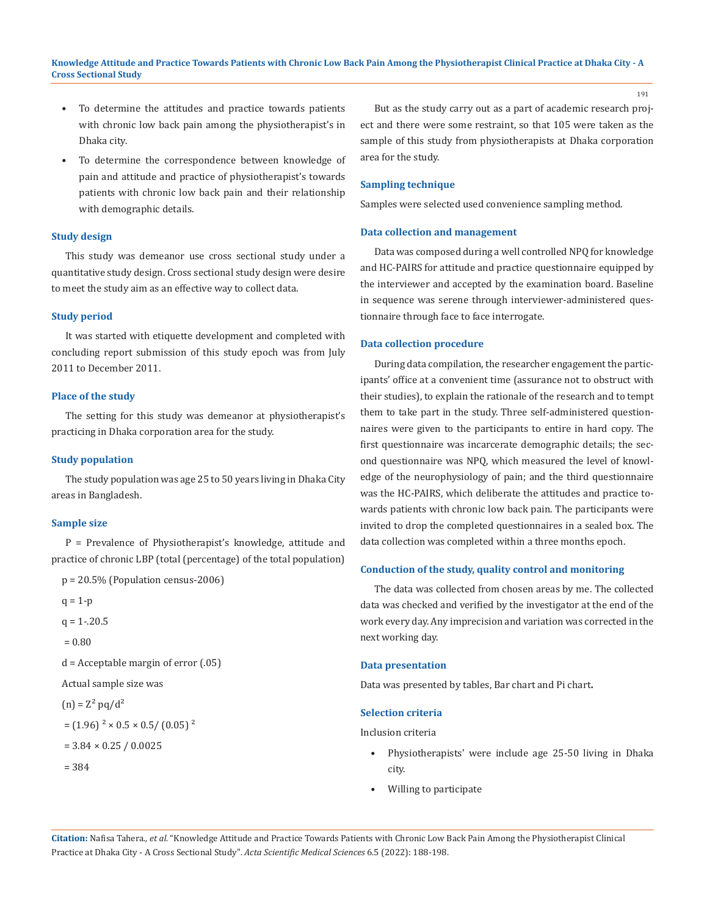- To determine the attitudes and practice towards patients with chronic low back pain among the physiotherapist's in Dhaka city.
- To determine the correspondence between knowledge of pain and attitude and practice of physiotherapist's towards patients with chronic low back pain and their relationship with demographic details.

#### **Study design**

This study was demeanor use cross sectional study under a quantitative study design. Cross sectional study design were desire to meet the study aim as an effective way to collect data.

#### **Study period**

It was started with etiquette development and completed with concluding report submission of this study epoch was from July 2011 to December 2011.

#### **Place of the study**

The setting for this study was demeanor at physiotherapist's practicing in Dhaka corporation area for the study.

#### **Study population**

The study population was age 25 to 50 years living in Dhaka City areas in Bangladesh.

#### **Sample size**

P = Prevalence of Physiotherapist's knowledge, attitude and practice of chronic LBP (total (percentage) of the total population)

```
p = 20.5\% (Population census-2006)
```

```
q = 1-p
```
 $q = 1 - 20.5$ 

```
= 0.80
```
d = Acceptable margin of error (.05)

Actual sample size was

```
(n) = Z^2 pq/d<sup>2</sup>
```

```
=(1.96)^2 \times 0.5 \times 0.5 / (0.05)^2
```
 $= 3.84 \times 0.25 / 0.0025$ 

$$
= 384
$$

But as the study carry out as a part of academic research project and there were some restraint, so that 105 were taken as the sample of this study from physiotherapists at Dhaka corporation area for the study.

## **Sampling technique**

Samples were selected used convenience sampling method.

## **Data collection and management**

Data was composed during a well controlled NPQ for knowledge and HC-PAIRS for attitude and practice questionnaire equipped by the interviewer and accepted by the examination board. Baseline in sequence was serene through interviewer-administered questionnaire through face to face interrogate.

#### **Data collection procedure**

During data compilation, the researcher engagement the participants' office at a convenient time (assurance not to obstruct with their studies), to explain the rationale of the research and to tempt them to take part in the study. Three self-administered questionnaires were given to the participants to entire in hard copy. The first questionnaire was incarcerate demographic details; the second questionnaire was NPQ, which measured the level of knowledge of the neurophysiology of pain; and the third questionnaire was the HC-PAIRS, which deliberate the attitudes and practice towards patients with chronic low back pain. The participants were invited to drop the completed questionnaires in a sealed box. The data collection was completed within a three months epoch.

#### **Conduction of the study, quality control and monitoring**

The data was collected from chosen areas by me. The collected data was checked and verified by the investigator at the end of the work every day. Any imprecision and variation was corrected in the next working day.

### **Data presentation**

Data was presented by tables, Bar chart and Pi chart**.**

#### **Selection criteria**

Inclusion criteria

- Physiotherapists' were include age 25-50 living in Dhaka city.
- Willing to participate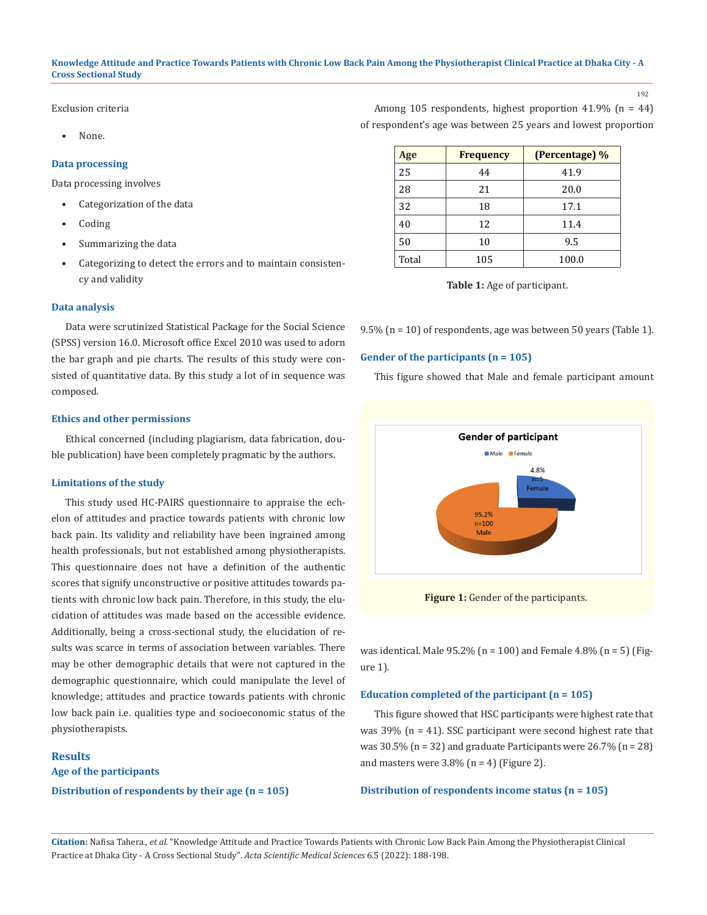#### 192

Exclusion criteria

• None.

#### **Data processing**

Data processing involves

- Categorization of the data
- Coding
- Summarizing the data
- Categorizing to detect the errors and to maintain consistency and validity

#### **Data analysis**

Data were scrutinized Statistical Package for the Social Science (SPSS) version 16.0. Microsoft office Excel 2010 was used to adorn the bar graph and pie charts. The results of this study were consisted of quantitative data. By this study a lot of in sequence was composed.

## **Ethics and other permissions**

Ethical concerned (including plagiarism, data fabrication, double publication) have been completely pragmatic by the authors.

### **Limitations of the study**

This study used HC-PAIRS questionnaire to appraise the echelon of attitudes and practice towards patients with chronic low back pain. Its validity and reliability have been ingrained among health professionals, but not established among physiotherapists. This questionnaire does not have a definition of the authentic scores that signify unconstructive or positive attitudes towards patients with chronic low back pain. Therefore, in this study, the elucidation of attitudes was made based on the accessible evidence. Additionally, being a cross-sectional study, the elucidation of results was scarce in terms of association between variables. There may be other demographic details that were not captured in the demographic questionnaire, which could manipulate the level of knowledge; attitudes and practice towards patients with chronic low back pain i.e. qualities type and socioeconomic status of the physiotherapists.

## **Results**

**Age of the participants Distribution of respondents by their age (n = 105)**

| Age   | <b>Frequency</b> | (Percentage) % |
|-------|------------------|----------------|
| 25    | 44               | 41.9           |
| 28    | 21               | 20.0           |
| 32    | 18               | 17.1           |
| 40    | 12               | 11.4           |
| 50    | 10               | 9.5            |
| Total | 105              | 100.0          |

Among 105 respondents, highest proportion 41.9% (n = 44) of respondent's age was between 25 years and lowest proportion

**Table 1:** Age of participant.

9.5% (n = 10) of respondents, age was between 50 years (Table 1).

#### **Gender of the participants (n = 105)**

This figure showed that Male and female participant amount



**Figure 1:** Gender of the participants.

was identical. Male 95.2% (n = 100) and Female 4.8% (n = 5) (Figure 1).

#### **Education completed of the participant (n = 105)**

This figure showed that HSC participants were highest rate that was 39% (n = 41). SSC participant were second highest rate that was  $30.5\%$  (n = 32) and graduate Participants were  $26.7\%$  (n = 28) and masters were  $3.8\%$  (n = 4) (Figure 2).

#### **Distribution of respondents income status (n = 105)**

**Citation:** Nafisa Tahera*., et al.* "Knowledge Attitude and Practice Towards Patients with Chronic Low Back Pain Among the Physiotherapist Clinical Practice at Dhaka City - A Cross Sectional Study". *Acta Scientific Medical Sciences* 6.5 (2022): 188-198.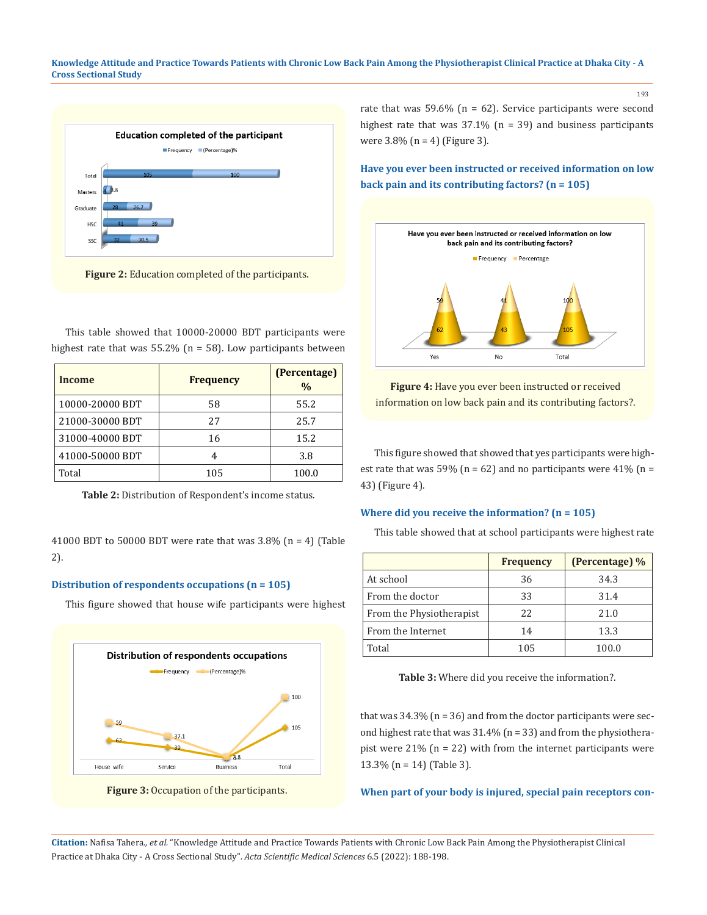

**Figure 2:** Education completed of the participants.

This table showed that 10000-20000 BDT participants were highest rate that was  $55.2\%$  (n = 58). Low participants between

| Income          | <b>Frequency</b> | (Percentage)<br>$\frac{0}{0}$ |
|-----------------|------------------|-------------------------------|
| 10000-20000 BDT | 58               | 55.2                          |
| 21000-30000 BDT | 27               | 25.7                          |
| 31000-40000 BDT | 16               | 15.2                          |
| 41000-50000 BDT | 4                | 3.8                           |
| Total           | 105              | 100.0                         |

**Table 2:** Distribution of Respondent's income status.

41000 BDT to 50000 BDT were rate that was  $3.8\%$  (n = 4) (Table 2).

### **Distribution of respondents occupations (n = 105)**

This figure showed that house wife participants were highest





rate that was 59.6% ( $n = 62$ ). Service participants were second highest rate that was  $37.1\%$  (n = 39) and business participants were  $3.8\%$  (n = 4) (Figure 3).

**Have you ever been instructed or received information on low back pain and its contributing factors? (n = 105)**



**Figure 4:** Have you ever been instructed or received information on low back pain and its contributing factors?.

This figure showed that showed that yes participants were highest rate that was 59% ( $n = 62$ ) and no participants were 41% ( $n =$ 43) (Figure 4).

## **Where did you receive the information? (n = 105)**

This table showed that at school participants were highest rate

|                          | <b>Frequency</b> | (Percentage) % |
|--------------------------|------------------|----------------|
| At school                | 36               | 34.3           |
| From the doctor          | 33               | 31.4           |
| From the Physiotherapist | 22               | 21.0           |
| From the Internet        | 14               | 13.3           |
| Total                    | 105              | 100.0          |

**Table 3:** Where did you receive the information?.

that was  $34.3\%$  (n = 36) and from the doctor participants were second highest rate that was  $31.4\%$  (n = 33) and from the physiotherapist were  $21\%$  (n = 22) with from the internet participants were 13.3% (n = 14) (Table 3).

## **When part of your body is injured, special pain receptors con-**

**Citation:** Nafisa Tahera*., et al.* "Knowledge Attitude and Practice Towards Patients with Chronic Low Back Pain Among the Physiotherapist Clinical Practice at Dhaka City - A Cross Sectional Study". *Acta Scientific Medical Sciences* 6.5 (2022): 188-198.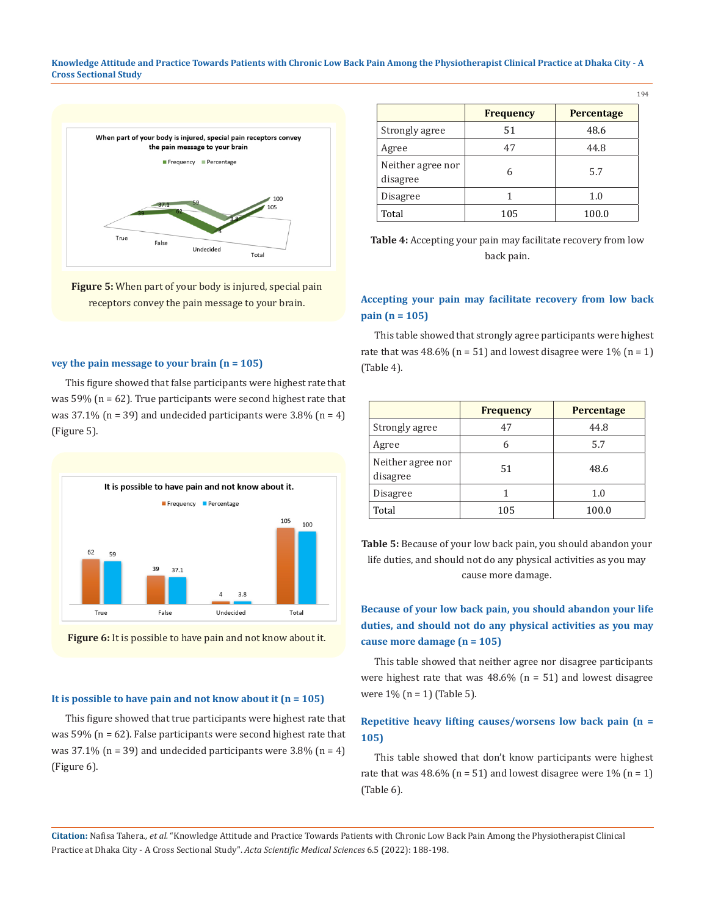

**Figure 5:** When part of your body is injured, special pain receptors convey the pain message to your brain.

## **vey the pain message to your brain (n = 105)**

This figure showed that false participants were highest rate that was  $59\%$  (n = 62). True participants were second highest rate that was  $37.1\%$  (n = 39) and undecided participants were  $3.8\%$  (n = 4) (Figure 5).



**Figure 6:** It is possible to have pain and not know about it.

#### **It is possible to have pain and not know about it (n = 105)**

This figure showed that true participants were highest rate that was 59% (n = 62). False participants were second highest rate that was  $37.1\%$  (n = 39) and undecided participants were  $3.8\%$  (n = 4) (Figure 6).

|                               | <b>Frequency</b> | <b>Percentage</b> |
|-------------------------------|------------------|-------------------|
| Strongly agree                | 51               | 48.6              |
| Agree                         | 47               | 44.8              |
| Neither agree nor<br>disagree | 6                | 5.7               |
| Disagree                      |                  | 1.0               |
| Total                         | 105              | 100.0             |

**Table 4:** Accepting your pain may facilitate recovery from low back pain.

## **Accepting your pain may facilitate recovery from low back pain (n = 105)**

This table showed that strongly agree participants were highest rate that was  $48.6\%$  (n = 51) and lowest disagree were 1% (n = 1) (Table 4).

|                               | <b>Frequency</b> | Percentage |
|-------------------------------|------------------|------------|
| Strongly agree                | 47               | 44.8       |
| Agree                         | 5.7<br>6         |            |
| Neither agree nor<br>disagree | 51               | 48.6       |
| Disagree                      |                  | 1.0        |
| Total                         | 105              | 100.0      |

**Table 5:** Because of your low back pain, you should abandon your life duties, and should not do any physical activities as you may cause more damage.

## **Because of your low back pain, you should abandon your life duties, and should not do any physical activities as you may cause more damage (n = 105)**

This table showed that neither agree nor disagree participants were highest rate that was  $48.6\%$  (n = 51) and lowest disagree were  $1\%$  (n = 1) (Table 5).

## **Repetitive heavy lifting causes/worsens low back pain (n = 105)**

This table showed that don't know participants were highest rate that was 48.6% ( $n = 51$ ) and lowest disagree were 1% ( $n = 1$ ) (Table 6).

**Citation:** Nafisa Tahera*., et al.* "Knowledge Attitude and Practice Towards Patients with Chronic Low Back Pain Among the Physiotherapist Clinical Practice at Dhaka City - A Cross Sectional Study". *Acta Scientific Medical Sciences* 6.5 (2022): 188-198.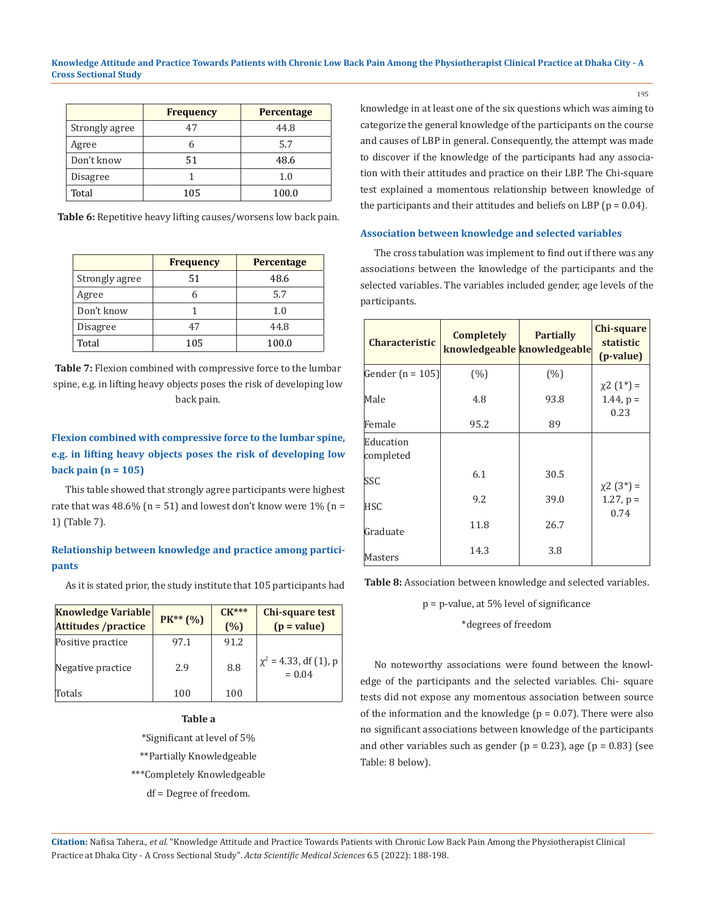|                | <b>Frequency</b> | <b>Percentage</b> |
|----------------|------------------|-------------------|
| Strongly agree | 47               | 44.8              |
| Agree          |                  | 5.7               |
| Don't know     | 51               | 48.6              |
| Disagree       |                  | 1.0               |
| Total          | 105              | 100.0             |

**Table 6:** Repetitive heavy lifting causes/worsens low back pain.

|                | <b>Frequency</b> | <b>Percentage</b> |  |
|----------------|------------------|-------------------|--|
| Strongly agree | 51               | 48.6              |  |
| Agree          |                  | 5.7               |  |
| Don't know     |                  | 1.0               |  |
| Disagree       | 47               | 44.8              |  |
| Total          | 105              | 100.0             |  |

**Table 7:** Flexion combined with compressive force to the lumbar spine, e.g. in lifting heavy objects poses the risk of developing low back pain.

## **Flexion combined with compressive force to the lumbar spine, e.g. in lifting heavy objects poses the risk of developing low back pain (n = 105)**

This table showed that strongly agree participants were highest rate that was  $48.6\%$  (n = 51) and lowest don't know were  $1\%$  (n = 1) (Table 7).

## **Relationship between knowledge and practice among participants**

As it is stated prior, the study institute that 105 participants had

| <b>Knowledge Variable</b><br><b>Attitudes /practice</b> | $PK** (%)$ | $CK***$<br>(%) | <b>Chi-square test</b><br>$(p = value)$ |
|---------------------------------------------------------|------------|----------------|-----------------------------------------|
| Positive practice                                       | 97.1       | 91.2           |                                         |
| Negative practice                                       | 2.9        | 8.8            | $\chi^2$ = 4.33, df (1), p<br>$= 0.04$  |
| Totals                                                  | 100        | 100            |                                         |

**Table a**

\*Significant at level of 5% \*\*Partially Knowledgeable

\*\*\*Completely Knowledgeable

df = Degree of freedom.

knowledge in at least one of the six questions which was aiming to categorize the general knowledge of the participants on the course and causes of LBP in general. Consequently, the attempt was made to discover if the knowledge of the participants had any association with their attitudes and practice on their LBP. The Chi-square test explained a momentous relationship between knowledge of the participants and their attitudes and beliefs on LBP ( $p = 0.04$ ).

#### **Association between knowledge and selected variables**

The cross tabulation was implement to find out if there was any associations between the knowledge of the participants and the selected variables. The variables included gender, age levels of the participants.

| <b>Characteristic</b>  | Completely<br>knowledgeable knowledgeable | <b>Partially</b> | Chi-square<br>statistic<br>( <i>p</i> -value) |
|------------------------|-------------------------------------------|------------------|-----------------------------------------------|
| Gender $(n = 105)$     | (%)                                       | (% )             |                                               |
| Male                   | 4.8                                       | 93.8             | $\chi^2(1^*)$ =<br>$1.44$ , $p =$<br>0.23     |
| Female                 | 95.2                                      | 89               |                                               |
| Education<br>completed |                                           |                  |                                               |
| SSC                    | 6.1                                       | 30.5             |                                               |
| <b>HSC</b>             | 9.2                                       | 39.0             | $\chi$ 2 (3*) =<br>$1.27$ , $p =$<br>0.74     |
| Graduate               | 11.8                                      | 26.7             |                                               |
| Masters                | 14.3                                      | 3.8              |                                               |

**Table 8:** Association between knowledge and selected variables.

## p = p-value, at 5% level of significance

\*degrees of freedom

No noteworthy associations were found between the knowledge of the participants and the selected variables. Chi- square tests did not expose any momentous association between source of the information and the knowledge ( $p = 0.07$ ). There were also no significant associations between knowledge of the participants and other variables such as gender ( $p = 0.23$ ), age ( $p = 0.83$ ) (see Table: 8 below).

**Citation:** Nafisa Tahera*., et al.* "Knowledge Attitude and Practice Towards Patients with Chronic Low Back Pain Among the Physiotherapist Clinical Practice at Dhaka City - A Cross Sectional Study". *Acta Scientific Medical Sciences* 6.5 (2022): 188-198.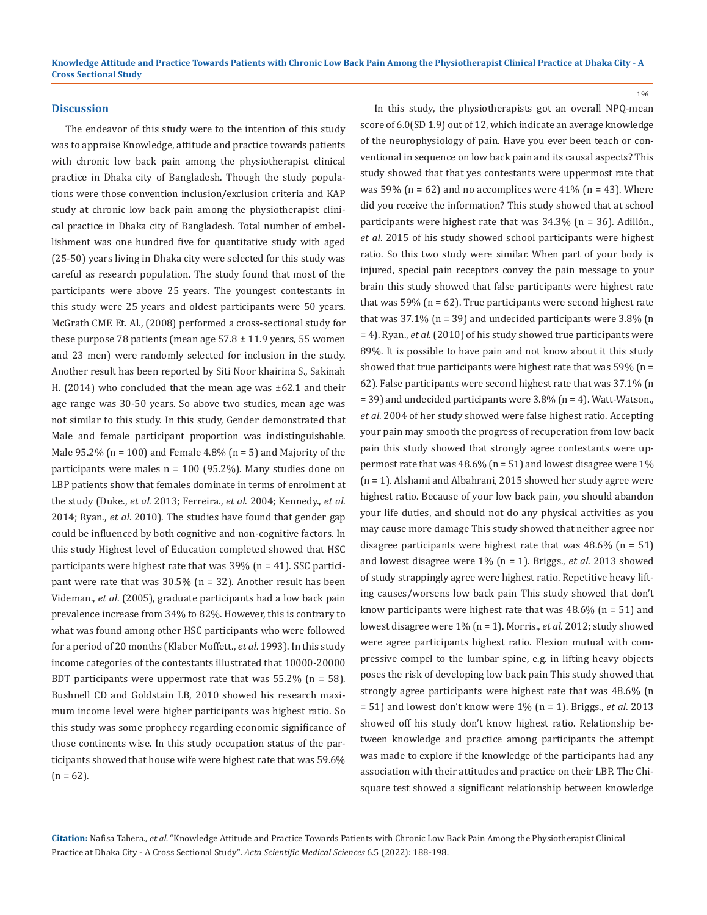#### **Discussion**

The endeavor of this study were to the intention of this study was to appraise Knowledge, attitude and practice towards patients with chronic low back pain among the physiotherapist clinical practice in Dhaka city of Bangladesh. Though the study populations were those convention inclusion/exclusion criteria and KAP study at chronic low back pain among the physiotherapist clinical practice in Dhaka city of Bangladesh. Total number of embellishment was one hundred five for quantitative study with aged (25-50) years living in Dhaka city were selected for this study was careful as research population. The study found that most of the participants were above 25 years. The youngest contestants in this study were 25 years and oldest participants were 50 years. McGrath CMF. Et. Al., (2008) performed a cross-sectional study for these purpose 78 patients (mean age  $57.8 \pm 11.9$  years, 55 women and 23 men) were randomly selected for inclusion in the study. Another result has been reported by Siti Noor khairina S., Sakinah H. (2014) who concluded that the mean age was ±62.1 and their age range was 30-50 years. So above two studies, mean age was not similar to this study. In this study, Gender demonstrated that Male and female participant proportion was indistinguishable. Male  $95.2\%$  (n = 100) and Female 4.8% (n = 5) and Majority of the participants were males n = 100 (95.2%). Many studies done on LBP patients show that females dominate in terms of enrolment at the study (Duke., *et al*. 2013; Ferreira., *et al*. 2004; Kennedy., *et al*. 2014; Ryan., *et al*. 2010). The studies have found that gender gap could be influenced by both cognitive and non-cognitive factors. In this study Highest level of Education completed showed that HSC participants were highest rate that was 39% (n = 41). SSC participant were rate that was 30.5% (n = 32). Another result has been Videman., *et al*. (2005), graduate participants had a low back pain prevalence increase from 34% to 82%. However, this is contrary to what was found among other HSC participants who were followed for a period of 20 months (Klaber Moffett., *et al*. 1993). In this study income categories of the contestants illustrated that 10000-20000 BDT participants were uppermost rate that was  $55.2\%$  (n = 58). Bushnell CD and Goldstain LB, 2010 showed his research maximum income level were higher participants was highest ratio. So this study was some prophecy regarding economic significance of those continents wise. In this study occupation status of the participants showed that house wife were highest rate that was 59.6%  $(n = 62)$ .

In this study, the physiotherapists got an overall NPQ-mean score of 6.0(SD 1.9) out of 12, which indicate an average knowledge of the neurophysiology of pain. Have you ever been teach or conventional in sequence on low back pain and its causal aspects? This study showed that that yes contestants were uppermost rate that was 59% ( $n = 62$ ) and no accomplices were 41% ( $n = 43$ ). Where did you receive the information? This study showed that at school participants were highest rate that was 34.3% (n = 36). Adillón., *et al*. 2015 of his study showed school participants were highest ratio. So this two study were similar. When part of your body is injured, special pain receptors convey the pain message to your brain this study showed that false participants were highest rate that was 59% ( $n = 62$ ). True participants were second highest rate that was  $37.1\%$  (n = 39) and undecided participants were  $3.8\%$  (n = 4). Ryan., *et al*. (2010) of his study showed true participants were 89%. It is possible to have pain and not know about it this study showed that true participants were highest rate that was 59% (n = 62). False participants were second highest rate that was 37.1% (n = 39) and undecided participants were 3.8% (n = 4). Watt-Watson., *et al*. 2004 of her study showed were false highest ratio. Accepting your pain may smooth the progress of recuperation from low back pain this study showed that strongly agree contestants were uppermost rate that was 48.6% (n = 51) and lowest disagree were 1% (n = 1). Alshami and Albahrani, 2015 showed her study agree were highest ratio. Because of your low back pain, you should abandon your life duties, and should not do any physical activities as you may cause more damage This study showed that neither agree nor disagree participants were highest rate that was  $48.6\%$  (n = 51) and lowest disagree were 1% (n = 1). Briggs., *et al*. 2013 showed of study strappingly agree were highest ratio. Repetitive heavy lifting causes/worsens low back pain This study showed that don't know participants were highest rate that was  $48.6\%$  (n = 51) and lowest disagree were 1% (n = 1). Morris., *et al*. 2012; study showed were agree participants highest ratio. Flexion mutual with compressive compel to the lumbar spine, e.g. in lifting heavy objects poses the risk of developing low back pain This study showed that strongly agree participants were highest rate that was 48.6% (n = 51) and lowest don't know were 1% (n = 1). Briggs., *et al*. 2013 showed off his study don't know highest ratio. Relationship between knowledge and practice among participants the attempt was made to explore if the knowledge of the participants had any association with their attitudes and practice on their LBP. The Chisquare test showed a significant relationship between knowledge

196

**Citation:** Nafisa Tahera*., et al.* "Knowledge Attitude and Practice Towards Patients with Chronic Low Back Pain Among the Physiotherapist Clinical Practice at Dhaka City - A Cross Sectional Study". *Acta Scientific Medical Sciences* 6.5 (2022): 188-198.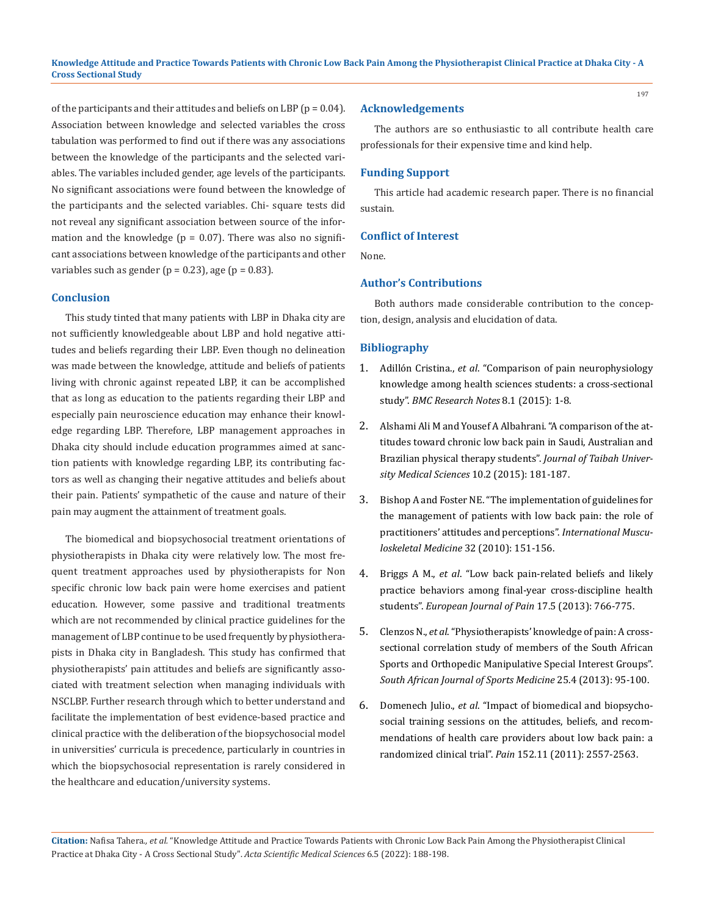of the participants and their attitudes and beliefs on LBP ( $p = 0.04$ ). Association between knowledge and selected variables the cross tabulation was performed to find out if there was any associations between the knowledge of the participants and the selected variables. The variables included gender, age levels of the participants. No significant associations were found between the knowledge of the participants and the selected variables. Chi- square tests did not reveal any significant association between source of the information and the knowledge  $(p = 0.07)$ . There was also no significant associations between knowledge of the participants and other variables such as gender ( $p = 0.23$ ), age ( $p = 0.83$ ).

#### **Conclusion**

This study tinted that many patients with LBP in Dhaka city are not sufficiently knowledgeable about LBP and hold negative attitudes and beliefs regarding their LBP. Even though no delineation was made between the knowledge, attitude and beliefs of patients living with chronic against repeated LBP, it can be accomplished that as long as education to the patients regarding their LBP and especially pain neuroscience education may enhance their knowledge regarding LBP. Therefore, LBP management approaches in Dhaka city should include education programmes aimed at sanction patients with knowledge regarding LBP, its contributing factors as well as changing their negative attitudes and beliefs about their pain. Patients' sympathetic of the cause and nature of their pain may augment the attainment of treatment goals.

The biomedical and biopsychosocial treatment orientations of physiotherapists in Dhaka city were relatively low. The most frequent treatment approaches used by physiotherapists for Non specific chronic low back pain were home exercises and patient education. However, some passive and traditional treatments which are not recommended by clinical practice guidelines for the management of LBP continue to be used frequently by physiotherapists in Dhaka city in Bangladesh. This study has confirmed that physiotherapists' pain attitudes and beliefs are significantly associated with treatment selection when managing individuals with NSCLBP. Further research through which to better understand and facilitate the implementation of best evidence-based practice and clinical practice with the deliberation of the biopsychosocial model in universities' curricula is precedence, particularly in countries in which the biopsychosocial representation is rarely considered in the healthcare and education/university systems.

#### **Acknowledgements**

The authors are so enthusiastic to all contribute health care professionals for their expensive time and kind help.

#### **Funding Support**

This article had academic research paper. There is no financial sustain.

#### **Conflict of Interest**

None.

#### **Author's Contributions**

Both authors made considerable contribution to the conception, design, analysis and elucidation of data.

## **Bibliography**

- 1. Adillón Cristina., *et al*[. "Comparison of pain neurophysiology](https://www.ncbi.nlm.nih.gov/pmc/articles/PMC4619188/)  [knowledge among health sciences students: a cross-sectional](https://www.ncbi.nlm.nih.gov/pmc/articles/PMC4619188/)  study". *[BMC Research Notes](https://www.ncbi.nlm.nih.gov/pmc/articles/PMC4619188/)* 8.1 (2015): 1-8.
- 2. Alshami Ali M and Yousef A Albahrani. "A comparison of the attitudes toward chronic low back pain in Saudi, Australian and Brazilian physical therapy students". *Journal of Taibah University Medical Sciences* 10.2 (2015): 181-187.
- 3. [Bishop A and Foster NE. "The implementation of guidelines for](https://doi.org/10.1179/1753615410Y.0000000001)  [the management of patients with low back pain: the role of](https://doi.org/10.1179/1753615410Y.0000000001)  [practitioners' attitudes and perceptions".](https://doi.org/10.1179/1753615410Y.0000000001) *International Muscu[loskeletal Medicine](https://doi.org/10.1179/1753615410Y.0000000001)* 32 (2010): 151-156.
- 4. Briggs A M., *et al*[. "Low back pain‐related beliefs and likely](https://pubmed.ncbi.nlm.nih.gov/23139051/)  [practice behaviors among final‐year cross‐discipline health](https://pubmed.ncbi.nlm.nih.gov/23139051/)  students". *[European Journal of Pain](https://pubmed.ncbi.nlm.nih.gov/23139051/)* 17.5 (2013): 766-775.
- 5. Clenzos N., *et al*[. "Physiotherapists' knowledge of pain: A cross](https://www.researchgate.net/publication/312649899_Physiotherapists)[sectional correlation study of members of the South African](https://www.researchgate.net/publication/312649899_Physiotherapists)  [Sports and Orthopedic Manipulative Special Interest Groups".](https://www.researchgate.net/publication/312649899_Physiotherapists)  *[South African Journal of Sports Medicine](https://www.researchgate.net/publication/312649899_Physiotherapists)* 25.4 (2013): 95-100.
- 6. Domenech Julio., *et al*[. "Impact of biomedical and biopsycho](https://pubmed.ncbi.nlm.nih.gov/21917377/)[social training sessions on the attitudes, beliefs, and recom](https://pubmed.ncbi.nlm.nih.gov/21917377/)[mendations of health care providers about low back pain: a](https://pubmed.ncbi.nlm.nih.gov/21917377/)  randomized clinical trial". *Pain* [152.11 \(2011\): 2557-2563.](https://pubmed.ncbi.nlm.nih.gov/21917377/)

**Citation:** Nafisa Tahera*., et al.* "Knowledge Attitude and Practice Towards Patients with Chronic Low Back Pain Among the Physiotherapist Clinical Practice at Dhaka City - A Cross Sectional Study". *Acta Scientific Medical Sciences* 6.5 (2022): 188-198.